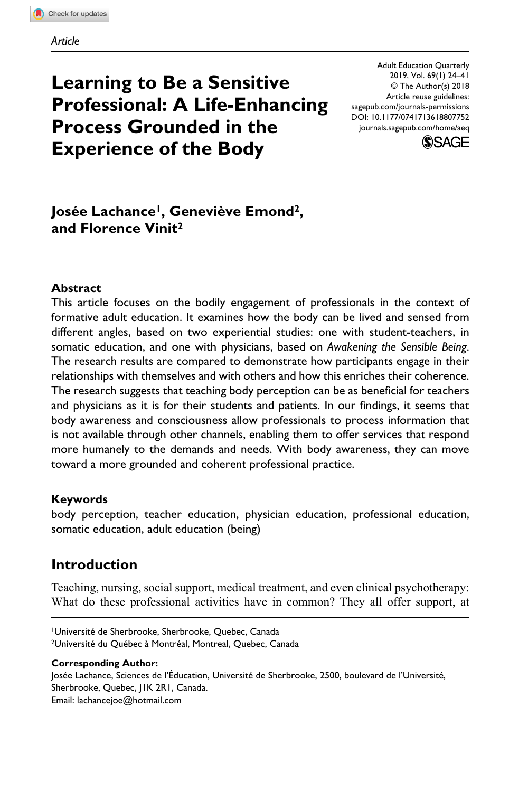# **Learning to Be a Sensitive Professional: A Life-Enhancing Process Grounded in the Experience of the Body**

DOI: 10.1177/0741713618807752 Adult Education Quarterly 2019, Vol. 69(1) 24–41 © The Author(s) 2018 Article reuse guidelines: [sagepub.com/journals-permissions](https://us.sagepub.com/en-us/journals-permissions) [journals.sagepub.com/home/aeq](https://journals.sagepub.com/home/aeq)



# Josée Lachance<sup>1</sup>, Geneviève Emond<sup>2</sup>, **and Florence Vinit2**

#### **Abstract**

This article focuses on the bodily engagement of professionals in the context of formative adult education. It examines how the body can be lived and sensed from different angles, based on two experiential studies: one with student-teachers, in somatic education, and one with physicians, based on *Awakening the Sensible Being*. The research results are compared to demonstrate how participants engage in their relationships with themselves and with others and how this enriches their coherence. The research suggests that teaching body perception can be as beneficial for teachers and physicians as it is for their students and patients. In our findings, it seems that body awareness and consciousness allow professionals to process information that is not available through other channels, enabling them to offer services that respond more humanely to the demands and needs. With body awareness, they can move toward a more grounded and coherent professional practice.

#### **Keywords**

body perception, teacher education, physician education, professional education, somatic education, adult education (being)

## **Introduction**

Teaching, nursing, social support, medical treatment, and even clinical psychotherapy: What do these professional activities have in common? They all offer support, at

1Université de Sherbrooke, Sherbrooke, Quebec, Canada 2Université du Québec à Montréal, Montreal, Quebec, Canada

#### **Corresponding Author:**

Josée Lachance, Sciences de l'Éducation, Université de Sherbrooke, 2500, boulevard de l'Université, Sherbrooke, Quebec, J1K 2R1, Canada. Email: lachancejoe@hotmail.com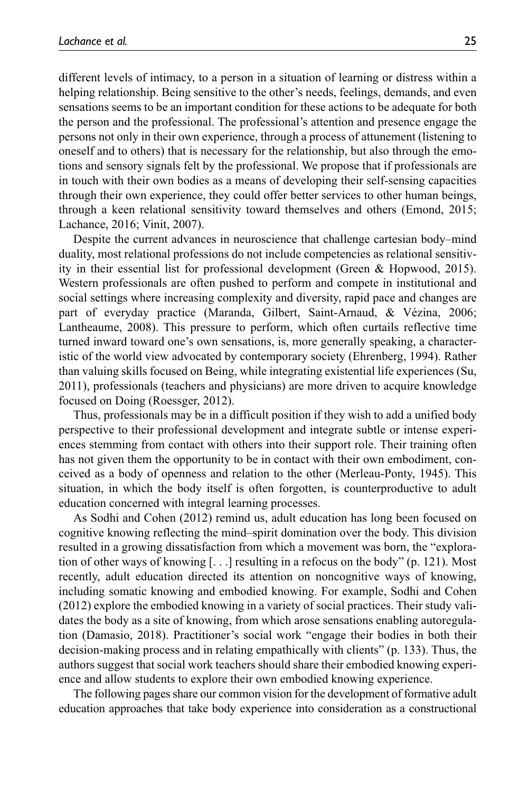different levels of intimacy, to a person in a situation of learning or distress within a helping relationship. Being sensitive to the other's needs, feelings, demands, and even sensations seems to be an important condition for these actions to be adequate for both the person and the professional. The professional's attention and presence engage the persons not only in their own experience, through a process of attunement (listening to oneself and to others) that is necessary for the relationship, but also through the emotions and sensory signals felt by the professional. We propose that if professionals are in touch with their own bodies as a means of developing their self-sensing capacities through their own experience, they could offer better services to other human beings, through a keen relational sensitivity toward themselves and others (Emond, 2015; Lachance, 2016; Vinit, 2007).

Despite the current advances in neuroscience that challenge cartesian body–mind duality, most relational professions do not include competencies as relational sensitivity in their essential list for professional development (Green & Hopwood, 2015). Western professionals are often pushed to perform and compete in institutional and social settings where increasing complexity and diversity, rapid pace and changes are part of everyday practice (Maranda, Gilbert, Saint-Arnaud, & Vézina, 2006; Lantheaume, 2008). This pressure to perform, which often curtails reflective time turned inward toward one's own sensations, is, more generally speaking, a characteristic of the world view advocated by contemporary society (Ehrenberg, 1994). Rather than valuing skills focused on Being, while integrating existential life experiences (Su, 2011), professionals (teachers and physicians) are more driven to acquire knowledge focused on Doing (Roessger, 2012).

Thus, professionals may be in a difficult position if they wish to add a unified body perspective to their professional development and integrate subtle or intense experiences stemming from contact with others into their support role. Their training often has not given them the opportunity to be in contact with their own embodiment, conceived as a body of openness and relation to the other (Merleau-Ponty, 1945). This situation, in which the body itself is often forgotten, is counterproductive to adult education concerned with integral learning processes.

As Sodhi and Cohen (2012) remind us, adult education has long been focused on cognitive knowing reflecting the mind–spirit domination over the body. This division resulted in a growing dissatisfaction from which a movement was born, the "exploration of other ways of knowing [. . .] resulting in a refocus on the body" (p. 121). Most recently, adult education directed its attention on noncognitive ways of knowing, including somatic knowing and embodied knowing. For example, Sodhi and Cohen (2012) explore the embodied knowing in a variety of social practices. Their study validates the body as a site of knowing, from which arose sensations enabling autoregulation (Damasio, 2018). Practitioner's social work "engage their bodies in both their decision-making process and in relating empathically with clients" (p. 133). Thus, the authors suggest that social work teachers should share their embodied knowing experience and allow students to explore their own embodied knowing experience.

The following pages share our common vision for the development of formative adult education approaches that take body experience into consideration as a constructional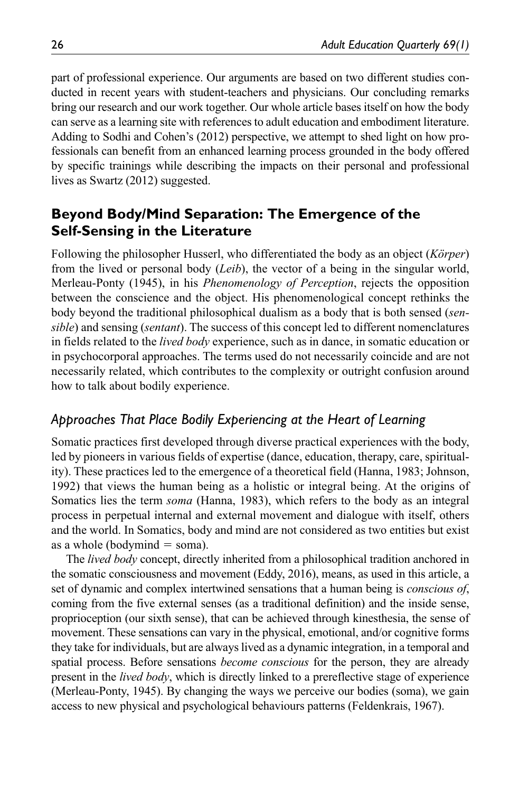part of professional experience. Our arguments are based on two different studies conducted in recent years with student-teachers and physicians. Our concluding remarks bring our research and our work together. Our whole article bases itself on how the body can serve as a learning site with references to adult education and embodiment literature. Adding to Sodhi and Cohen's (2012) perspective, we attempt to shed light on how professionals can benefit from an enhanced learning process grounded in the body offered by specific trainings while describing the impacts on their personal and professional lives as Swartz (2012) suggested.

# **Beyond Body/Mind Separation: The Emergence of the Self-Sensing in the Literature**

Following the philosopher Husserl, who differentiated the body as an object (*Körper*) from the lived or personal body (*Leib*), the vector of a being in the singular world, Merleau-Ponty (1945), in his *Phenomenology of Perception*, rejects the opposition between the conscience and the object. His phenomenological concept rethinks the body beyond the traditional philosophical dualism as a body that is both sensed (*sensible*) and sensing (*sentant*). The success of this concept led to different nomenclatures in fields related to the *lived body* experience, such as in dance, in somatic education or in psychocorporal approaches. The terms used do not necessarily coincide and are not necessarily related, which contributes to the complexity or outright confusion around how to talk about bodily experience.

# *Approaches That Place Bodily Experiencing at the Heart of Learning*

Somatic practices first developed through diverse practical experiences with the body, led by pioneers in various fields of expertise (dance, education, therapy, care, spirituality). These practices led to the emergence of a theoretical field (Hanna, 1983; Johnson, 1992) that views the human being as a holistic or integral being. At the origins of Somatics lies the term *soma* (Hanna, 1983), which refers to the body as an integral process in perpetual internal and external movement and dialogue with itself, others and the world. In Somatics, body and mind are not considered as two entities but exist as a whole (bodymind  $=$  soma).

The *lived body* concept, directly inherited from a philosophical tradition anchored in the somatic consciousness and movement (Eddy, 2016), means, as used in this article, a set of dynamic and complex intertwined sensations that a human being is *conscious of*, coming from the five external senses (as a traditional definition) and the inside sense, proprioception (our sixth sense), that can be achieved through kinesthesia, the sense of movement. These sensations can vary in the physical, emotional, and/or cognitive forms they take for individuals, but are always lived as a dynamic integration, in a temporal and spatial process. Before sensations *become conscious* for the person, they are already present in the *lived body*, which is directly linked to a prereflective stage of experience (Merleau-Ponty, 1945). By changing the ways we perceive our bodies (soma), we gain access to new physical and psychological behaviours patterns (Feldenkrais, 1967).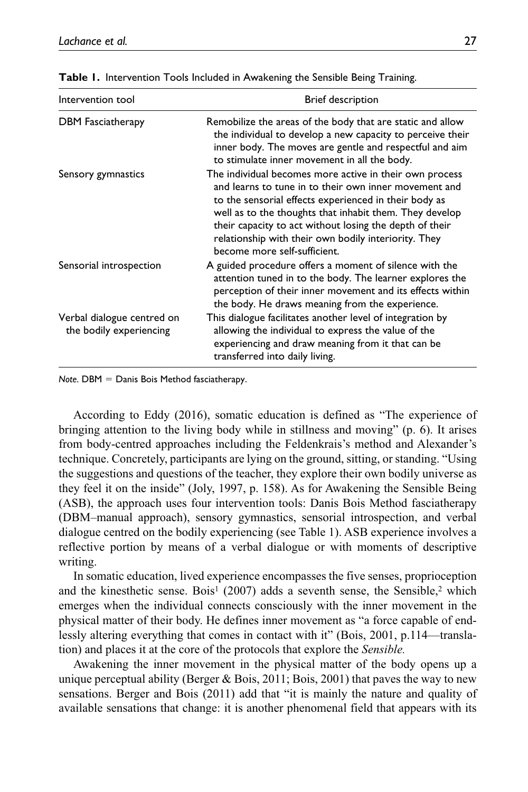| Intervention tool                                     | Brief description                                                                                                                                                                                                                                                                                                                                                                       |
|-------------------------------------------------------|-----------------------------------------------------------------------------------------------------------------------------------------------------------------------------------------------------------------------------------------------------------------------------------------------------------------------------------------------------------------------------------------|
| <b>DBM</b> Fasciatherapy                              | Remobilize the areas of the body that are static and allow<br>the individual to develop a new capacity to perceive their<br>inner body. The moves are gentle and respectful and aim<br>to stimulate inner movement in all the body.                                                                                                                                                     |
| Sensory gymnastics                                    | The individual becomes more active in their own process<br>and learns to tune in to their own inner movement and<br>to the sensorial effects experienced in their body as<br>well as to the thoughts that inhabit them. They develop<br>their capacity to act without losing the depth of their<br>relationship with their own bodily interiority. They<br>become more self-sufficient. |
| Sensorial introspection                               | A guided procedure offers a moment of silence with the<br>attention tuned in to the body. The learner explores the<br>perception of their inner movement and its effects within<br>the body. He draws meaning from the experience.                                                                                                                                                      |
| Verbal dialogue centred on<br>the bodily experiencing | This dialogue facilitates another level of integration by<br>allowing the individual to express the value of the<br>experiencing and draw meaning from it that can be<br>transferred into daily living.                                                                                                                                                                                 |

**Table 1.** Intervention Tools Included in Awakening the Sensible Being Training.

*Note*. DBM = Danis Bois Method fasciatherapy.

According to Eddy (2016), somatic education is defined as "The experience of bringing attention to the living body while in stillness and moving" (p. 6). It arises from body-centred approaches including the Feldenkrais's method and Alexander's technique. Concretely, participants are lying on the ground, sitting, or standing. "Using the suggestions and questions of the teacher, they explore their own bodily universe as they feel it on the inside" (Joly, 1997, p. 158). As for Awakening the Sensible Being (ASB), the approach uses four intervention tools: Danis Bois Method fasciatherapy (DBM–manual approach), sensory gymnastics, sensorial introspection, and verbal dialogue centred on the bodily experiencing (see Table 1). ASB experience involves a reflective portion by means of a verbal dialogue or with moments of descriptive writing.

In somatic education, lived experience encompasses the five senses, proprioception and the kinesthetic sense. Bois<sup>1</sup> (2007) adds a seventh sense, the Sensible,<sup>2</sup> which emerges when the individual connects consciously with the inner movement in the physical matter of their body. He defines inner movement as "a force capable of endlessly altering everything that comes in contact with it" (Bois, 2001, p.114—translation) and places it at the core of the protocols that explore the *Sensible.*

Awakening the inner movement in the physical matter of the body opens up a unique perceptual ability (Berger & Bois, 2011; Bois, 2001) that paves the way to new sensations. Berger and Bois (2011) add that "it is mainly the nature and quality of available sensations that change: it is another phenomenal field that appears with its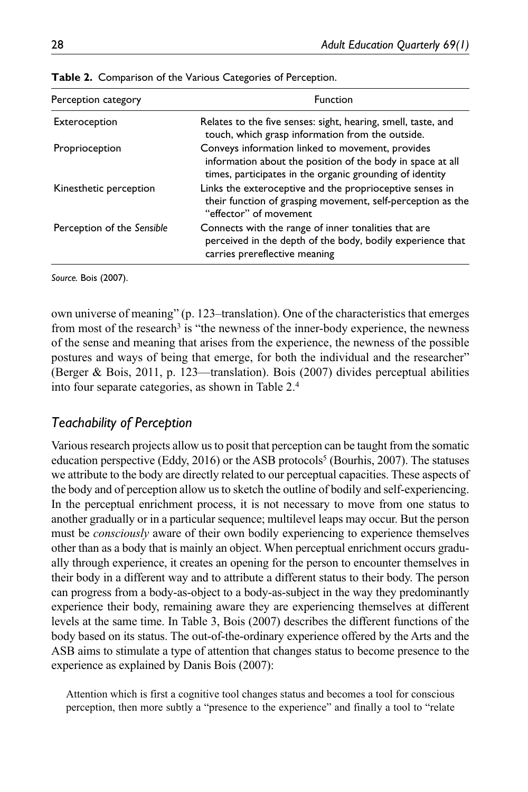| Perception category        | Function                                                                                                                                                                   |
|----------------------------|----------------------------------------------------------------------------------------------------------------------------------------------------------------------------|
| Exteroception              | Relates to the five senses: sight, hearing, smell, taste, and<br>touch, which grasp information from the outside.                                                          |
| Proprioception             | Conveys information linked to movement, provides<br>information about the position of the body in space at all<br>times, participates in the organic grounding of identity |
| Kinesthetic perception     | Links the exteroceptive and the proprioceptive senses in<br>their function of grasping movement, self-perception as the<br>"effector" of movement                          |
| Perception of the Sensible | Connects with the range of inner tonalities that are<br>perceived in the depth of the body, bodily experience that<br>carries prereflective meaning                        |

**Table 2.** Comparison of the Various Categories of Perception.

*Source.* Bois (2007).

own universe of meaning" (p. 123–translation). One of the characteristics that emerges from most of the research<sup>3</sup> is "the newness of the inner-body experience, the newness of the sense and meaning that arises from the experience, the newness of the possible postures and ways of being that emerge, for both the individual and the researcher" (Berger & Bois, 2011, p. 123—translation). Bois (2007) divides perceptual abilities into four separate categories, as shown in Table 2.4

#### *Teachability of Perception*

Various research projects allow us to posit that perception can be taught from the somatic education perspective (Eddy, 2016) or the ASB protocols<sup>5</sup> (Bourhis, 2007). The statuses we attribute to the body are directly related to our perceptual capacities. These aspects of the body and of perception allow us to sketch the outline of bodily and self-experiencing. In the perceptual enrichment process, it is not necessary to move from one status to another gradually or in a particular sequence; multilevel leaps may occur. But the person must be *consciously* aware of their own bodily experiencing to experience themselves other than as a body that is mainly an object. When perceptual enrichment occurs gradually through experience, it creates an opening for the person to encounter themselves in their body in a different way and to attribute a different status to their body. The person can progress from a body-as-object to a body-as-subject in the way they predominantly experience their body, remaining aware they are experiencing themselves at different levels at the same time. In Table 3, Bois (2007) describes the different functions of the body based on its status. The out-of-the-ordinary experience offered by the Arts and the ASB aims to stimulate a type of attention that changes status to become presence to the experience as explained by Danis Bois (2007):

Attention which is first a cognitive tool changes status and becomes a tool for conscious perception, then more subtly a "presence to the experience" and finally a tool to "relate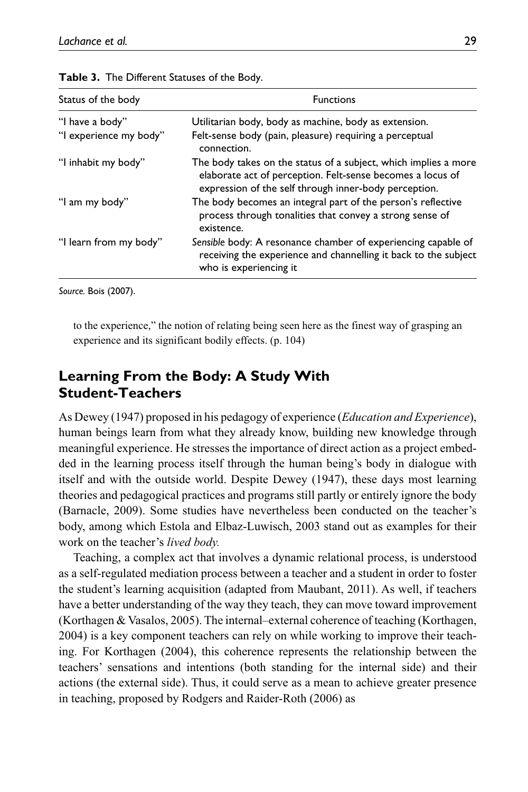| Status of the body     | <b>Functions</b>                                                                                                                                                                       |
|------------------------|----------------------------------------------------------------------------------------------------------------------------------------------------------------------------------------|
| "I have a body"        | Utilitarian body, body as machine, body as extension.                                                                                                                                  |
| "I experience my body" | Felt-sense body (pain, pleasure) requiring a perceptual<br>connection.                                                                                                                 |
| "I inhabit my body"    | The body takes on the status of a subject, which implies a more<br>elaborate act of perception. Felt-sense becomes a locus of<br>expression of the self through inner-body perception. |
| "I am my body"         | The body becomes an integral part of the person's reflective<br>process through tonalities that convey a strong sense of<br>existence.                                                 |
| "I learn from my body" | Sensible body: A resonance chamber of experiencing capable of<br>receiving the experience and channelling it back to the subject<br>who is experiencing it                             |

| Table 3. The Different Statuses of the Body. |  |
|----------------------------------------------|--|
|----------------------------------------------|--|

*Source.* Bois (2007).

to the experience," the notion of relating being seen here as the finest way of grasping an experience and its significant bodily effects. (p. 104)

## **Learning From the Body: A Study With Student-Teachers**

As Dewey (1947) proposed in his pedagogy of experience (*Education and Experience*), human beings learn from what they already know, building new knowledge through meaningful experience. He stresses the importance of direct action as a project embedded in the learning process itself through the human being's body in dialogue with itself and with the outside world. Despite Dewey (1947), these days most learning theories and pedagogical practices and programs still partly or entirely ignore the body (Barnacle, 2009). Some studies have nevertheless been conducted on the teacher's body, among which Estola and Elbaz-Luwisch, 2003 stand out as examples for their work on the teacher's *lived body.*

Teaching, a complex act that involves a dynamic relational process, is understood as a self-regulated mediation process between a teacher and a student in order to foster the student's learning acquisition (adapted from Maubant, 2011). As well, if teachers have a better understanding of the way they teach, they can move toward improvement (Korthagen & Vasalos, 2005). The internal–external coherence of teaching (Korthagen, 2004) is a key component teachers can rely on while working to improve their teaching. For Korthagen (2004), this coherence represents the relationship between the teachers' sensations and intentions (both standing for the internal side) and their actions (the external side). Thus, it could serve as a mean to achieve greater presence in teaching, proposed by Rodgers and Raider-Roth (2006) as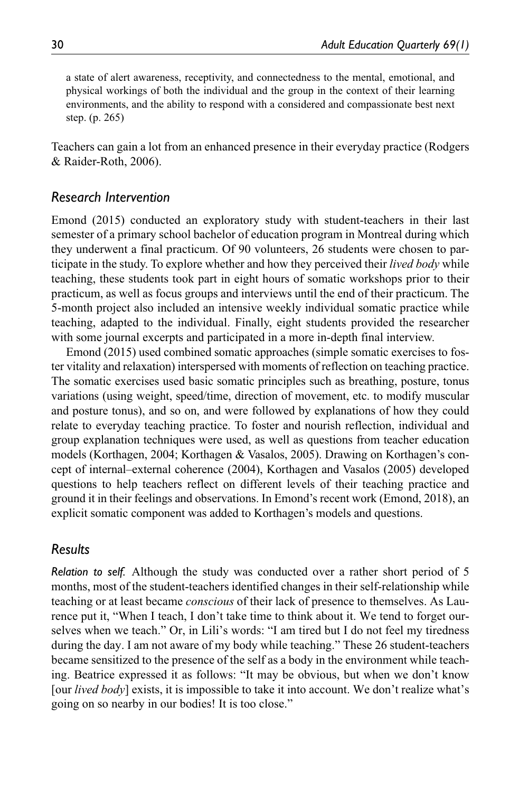a state of alert awareness, receptivity, and connectedness to the mental, emotional, and physical workings of both the individual and the group in the context of their learning environments, and the ability to respond with a considered and compassionate best next step. (p. 265)

Teachers can gain a lot from an enhanced presence in their everyday practice (Rodgers & Raider-Roth, 2006).

#### *Research Intervention*

Emond (2015) conducted an exploratory study with student-teachers in their last semester of a primary school bachelor of education program in Montreal during which they underwent a final practicum. Of 90 volunteers, 26 students were chosen to participate in the study. To explore whether and how they perceived their *lived body* while teaching, these students took part in eight hours of somatic workshops prior to their practicum, as well as focus groups and interviews until the end of their practicum. The 5-month project also included an intensive weekly individual somatic practice while teaching, adapted to the individual. Finally, eight students provided the researcher with some journal excerpts and participated in a more in-depth final interview.

Emond (2015) used combined somatic approaches (simple somatic exercises to foster vitality and relaxation) interspersed with moments of reflection on teaching practice. The somatic exercises used basic somatic principles such as breathing, posture, tonus variations (using weight, speed/time, direction of movement, etc. to modify muscular and posture tonus), and so on, and were followed by explanations of how they could relate to everyday teaching practice. To foster and nourish reflection, individual and group explanation techniques were used, as well as questions from teacher education models (Korthagen, 2004; Korthagen & Vasalos, 2005). Drawing on Korthagen's concept of internal–external coherence (2004), Korthagen and Vasalos (2005) developed questions to help teachers reflect on different levels of their teaching practice and ground it in their feelings and observations. In Emond's recent work (Emond, 2018), an explicit somatic component was added to Korthagen's models and questions.

#### *Results*

*Relation to self.* Although the study was conducted over a rather short period of 5 months, most of the student-teachers identified changes in their self-relationship while teaching or at least became *conscious* of their lack of presence to themselves. As Laurence put it, "When I teach, I don't take time to think about it. We tend to forget ourselves when we teach." Or, in Lili's words: "I am tired but I do not feel my tiredness during the day. I am not aware of my body while teaching." These 26 student-teachers became sensitized to the presence of the self as a body in the environment while teaching. Beatrice expressed it as follows: "It may be obvious, but when we don't know [our *lived body*] exists, it is impossible to take it into account. We don't realize what's going on so nearby in our bodies! It is too close."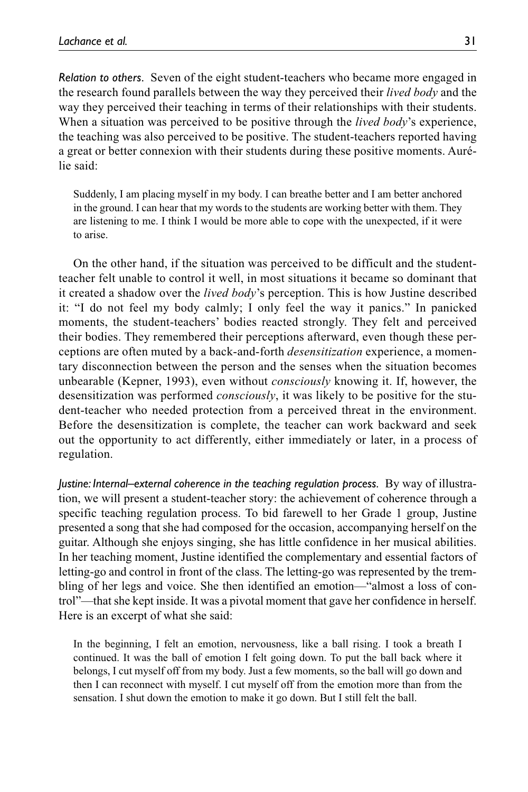*Relation to others.* Seven of the eight student-teachers who became more engaged in the research found parallels between the way they perceived their *lived body* and the way they perceived their teaching in terms of their relationships with their students. When a situation was perceived to be positive through the *lived body*'s experience, the teaching was also perceived to be positive. The student-teachers reported having a great or better connexion with their students during these positive moments. Aurélie said:

Suddenly, I am placing myself in my body. I can breathe better and I am better anchored in the ground. I can hear that my words to the students are working better with them. They are listening to me. I think I would be more able to cope with the unexpected, if it were to arise.

On the other hand, if the situation was perceived to be difficult and the studentteacher felt unable to control it well, in most situations it became so dominant that it created a shadow over the *lived body*'s perception. This is how Justine described it: "I do not feel my body calmly; I only feel the way it panics." In panicked moments, the student-teachers' bodies reacted strongly. They felt and perceived their bodies. They remembered their perceptions afterward, even though these perceptions are often muted by a back-and-forth *desensitization* experience, a momentary disconnection between the person and the senses when the situation becomes unbearable (Kepner, 1993), even without *consciously* knowing it. If, however, the desensitization was performed *consciously*, it was likely to be positive for the student-teacher who needed protection from a perceived threat in the environment. Before the desensitization is complete, the teacher can work backward and seek out the opportunity to act differently, either immediately or later, in a process of regulation.

*Justine: Internal–external coherence in the teaching regulation process.* By way of illustration, we will present a student-teacher story: the achievement of coherence through a specific teaching regulation process. To bid farewell to her Grade 1 group, Justine presented a song that she had composed for the occasion, accompanying herself on the guitar. Although she enjoys singing, she has little confidence in her musical abilities. In her teaching moment, Justine identified the complementary and essential factors of letting-go and control in front of the class. The letting-go was represented by the trembling of her legs and voice. She then identified an emotion—"almost a loss of control"—that she kept inside. It was a pivotal moment that gave her confidence in herself. Here is an excerpt of what she said:

In the beginning, I felt an emotion, nervousness, like a ball rising. I took a breath I continued. It was the ball of emotion I felt going down. To put the ball back where it belongs, I cut myself off from my body. Just a few moments, so the ball will go down and then I can reconnect with myself. I cut myself off from the emotion more than from the sensation. I shut down the emotion to make it go down. But I still felt the ball.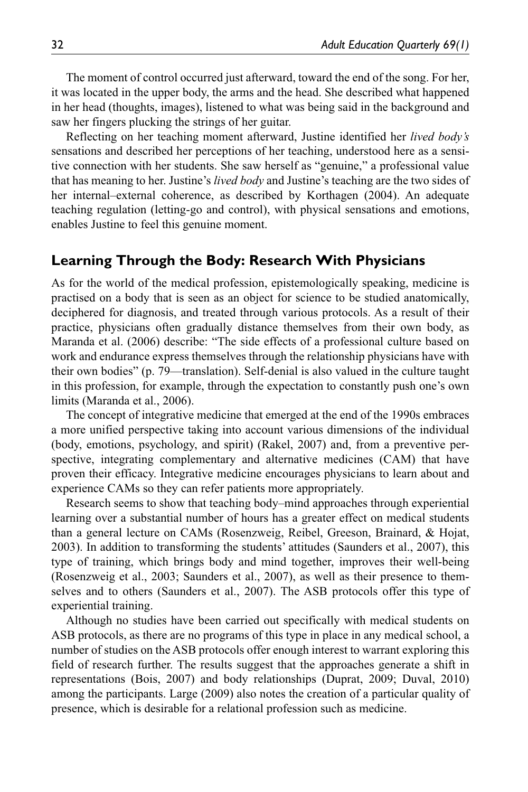The moment of control occurred just afterward, toward the end of the song. For her, it was located in the upper body, the arms and the head. She described what happened in her head (thoughts, images), listened to what was being said in the background and saw her fingers plucking the strings of her guitar.

Reflecting on her teaching moment afterward, Justine identified her *lived body's* sensations and described her perceptions of her teaching, understood here as a sensitive connection with her students. She saw herself as "genuine," a professional value that has meaning to her. Justine's *lived body* and Justine's teaching are the two sides of her internal–external coherence, as described by Korthagen (2004). An adequate teaching regulation (letting-go and control), with physical sensations and emotions, enables Justine to feel this genuine moment.

#### **Learning Through the Body: Research With Physicians**

As for the world of the medical profession, epistemologically speaking, medicine is practised on a body that is seen as an object for science to be studied anatomically, deciphered for diagnosis, and treated through various protocols. As a result of their practice, physicians often gradually distance themselves from their own body, as Maranda et al. (2006) describe: "The side effects of a professional culture based on work and endurance express themselves through the relationship physicians have with their own bodies" (p. 79—translation). Self-denial is also valued in the culture taught in this profession, for example, through the expectation to constantly push one's own limits (Maranda et al., 2006).

The concept of integrative medicine that emerged at the end of the 1990s embraces a more unified perspective taking into account various dimensions of the individual (body, emotions, psychology, and spirit) (Rakel, 2007) and, from a preventive perspective, integrating complementary and alternative medicines (CAM) that have proven their efficacy. Integrative medicine encourages physicians to learn about and experience CAMs so they can refer patients more appropriately.

Research seems to show that teaching body–mind approaches through experiential learning over a substantial number of hours has a greater effect on medical students than a general lecture on CAMs (Rosenzweig, Reibel, Greeson, Brainard, & Hojat, 2003). In addition to transforming the students' attitudes (Saunders et al., 2007), this type of training, which brings body and mind together, improves their well-being (Rosenzweig et al., 2003; Saunders et al., 2007), as well as their presence to themselves and to others (Saunders et al., 2007). The ASB protocols offer this type of experiential training.

Although no studies have been carried out specifically with medical students on ASB protocols, as there are no programs of this type in place in any medical school, a number of studies on the ASB protocols offer enough interest to warrant exploring this field of research further. The results suggest that the approaches generate a shift in representations (Bois, 2007) and body relationships (Duprat, 2009; Duval, 2010) among the participants. Large (2009) also notes the creation of a particular quality of presence, which is desirable for a relational profession such as medicine.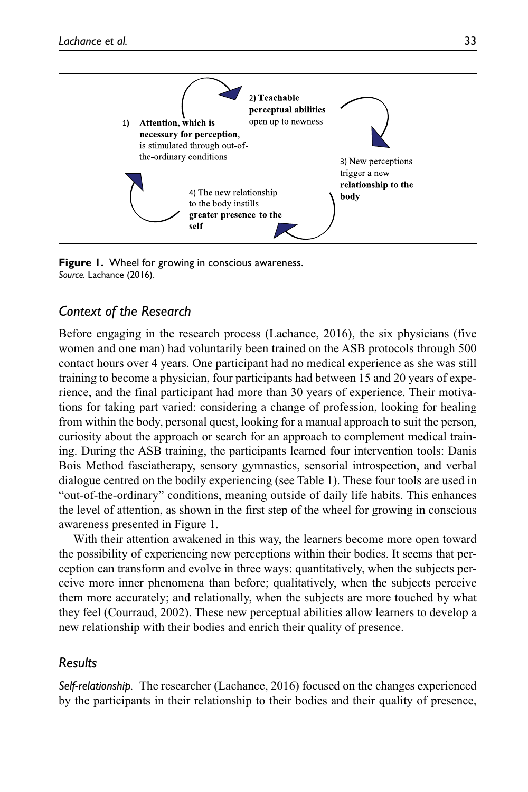



#### *Context of the Research*

Before engaging in the research process (Lachance, 2016), the six physicians (five women and one man) had voluntarily been trained on the ASB protocols through 500 contact hours over 4 years. One participant had no medical experience as she was still training to become a physician, four participants had between 15 and 20 years of experience, and the final participant had more than 30 years of experience. Their motivations for taking part varied: considering a change of profession, looking for healing from within the body, personal quest, looking for a manual approach to suit the person, curiosity about the approach or search for an approach to complement medical training. During the ASB training, the participants learned four intervention tools: Danis Bois Method fasciatherapy, sensory gymnastics, sensorial introspection, and verbal dialogue centred on the bodily experiencing (see Table 1). These four tools are used in "out-of-the-ordinary" conditions, meaning outside of daily life habits. This enhances the level of attention, as shown in the first step of the wheel for growing in conscious awareness presented in Figure 1.

With their attention awakened in this way, the learners become more open toward the possibility of experiencing new perceptions within their bodies. It seems that perception can transform and evolve in three ways: quantitatively, when the subjects perceive more inner phenomena than before; qualitatively, when the subjects perceive them more accurately; and relationally, when the subjects are more touched by what they feel (Courraud, 2002). These new perceptual abilities allow learners to develop a new relationship with their bodies and enrich their quality of presence.

#### *Results*

*Self-relationship.* The researcher (Lachance, 2016) focused on the changes experienced by the participants in their relationship to their bodies and their quality of presence,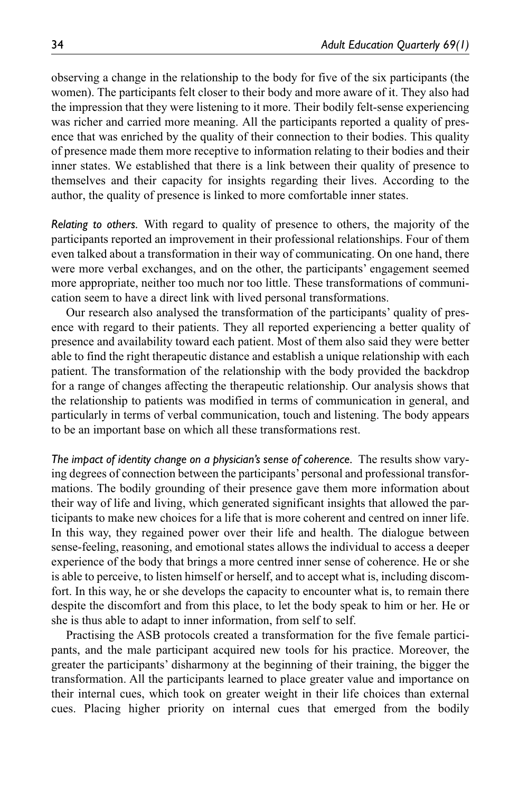observing a change in the relationship to the body for five of the six participants (the women). The participants felt closer to their body and more aware of it. They also had the impression that they were listening to it more. Their bodily felt-sense experiencing was richer and carried more meaning. All the participants reported a quality of presence that was enriched by the quality of their connection to their bodies. This quality of presence made them more receptive to information relating to their bodies and their inner states. We established that there is a link between their quality of presence to themselves and their capacity for insights regarding their lives. According to the author, the quality of presence is linked to more comfortable inner states.

*Relating to others.* With regard to quality of presence to others, the majority of the participants reported an improvement in their professional relationships. Four of them even talked about a transformation in their way of communicating. On one hand, there were more verbal exchanges, and on the other, the participants' engagement seemed more appropriate, neither too much nor too little. These transformations of communication seem to have a direct link with lived personal transformations.

Our research also analysed the transformation of the participants' quality of presence with regard to their patients. They all reported experiencing a better quality of presence and availability toward each patient. Most of them also said they were better able to find the right therapeutic distance and establish a unique relationship with each patient. The transformation of the relationship with the body provided the backdrop for a range of changes affecting the therapeutic relationship. Our analysis shows that the relationship to patients was modified in terms of communication in general, and particularly in terms of verbal communication, touch and listening. The body appears to be an important base on which all these transformations rest.

*The impact of identity change on a physician's sense of coherence.* The results show varying degrees of connection between the participants' personal and professional transformations. The bodily grounding of their presence gave them more information about their way of life and living, which generated significant insights that allowed the participants to make new choices for a life that is more coherent and centred on inner life. In this way, they regained power over their life and health. The dialogue between sense-feeling, reasoning, and emotional states allows the individual to access a deeper experience of the body that brings a more centred inner sense of coherence. He or she is able to perceive, to listen himself or herself, and to accept what is, including discomfort. In this way, he or she develops the capacity to encounter what is, to remain there despite the discomfort and from this place, to let the body speak to him or her. He or she is thus able to adapt to inner information, from self to self.

Practising the ASB protocols created a transformation for the five female participants, and the male participant acquired new tools for his practice. Moreover, the greater the participants' disharmony at the beginning of their training, the bigger the transformation. All the participants learned to place greater value and importance on their internal cues, which took on greater weight in their life choices than external cues. Placing higher priority on internal cues that emerged from the bodily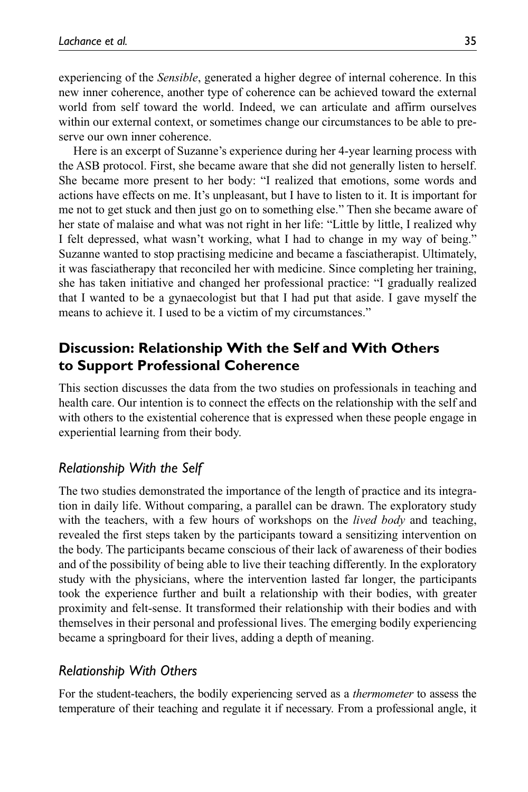experiencing of the *Sensible*, generated a higher degree of internal coherence. In this new inner coherence, another type of coherence can be achieved toward the external world from self toward the world. Indeed, we can articulate and affirm ourselves within our external context, or sometimes change our circumstances to be able to preserve our own inner coherence.

Here is an excerpt of Suzanne's experience during her 4-year learning process with the ASB protocol. First, she became aware that she did not generally listen to herself. She became more present to her body: "I realized that emotions, some words and actions have effects on me. It's unpleasant, but I have to listen to it. It is important for me not to get stuck and then just go on to something else." Then she became aware of her state of malaise and what was not right in her life: "Little by little, I realized why I felt depressed, what wasn't working, what I had to change in my way of being." Suzanne wanted to stop practising medicine and became a fasciatherapist. Ultimately, it was fasciatherapy that reconciled her with medicine. Since completing her training, she has taken initiative and changed her professional practice: "I gradually realized that I wanted to be a gynaecologist but that I had put that aside. I gave myself the means to achieve it. I used to be a victim of my circumstances."

# **Discussion: Relationship With the Self and With Others to Support Professional Coherence**

This section discusses the data from the two studies on professionals in teaching and health care. Our intention is to connect the effects on the relationship with the self and with others to the existential coherence that is expressed when these people engage in experiential learning from their body.

## *Relationship With the Self*

The two studies demonstrated the importance of the length of practice and its integration in daily life. Without comparing, a parallel can be drawn. The exploratory study with the teachers, with a few hours of workshops on the *lived body* and teaching, revealed the first steps taken by the participants toward a sensitizing intervention on the body. The participants became conscious of their lack of awareness of their bodies and of the possibility of being able to live their teaching differently. In the exploratory study with the physicians, where the intervention lasted far longer, the participants took the experience further and built a relationship with their bodies, with greater proximity and felt-sense. It transformed their relationship with their bodies and with themselves in their personal and professional lives. The emerging bodily experiencing became a springboard for their lives, adding a depth of meaning.

#### *Relationship With Others*

For the student-teachers, the bodily experiencing served as a *thermometer* to assess the temperature of their teaching and regulate it if necessary. From a professional angle, it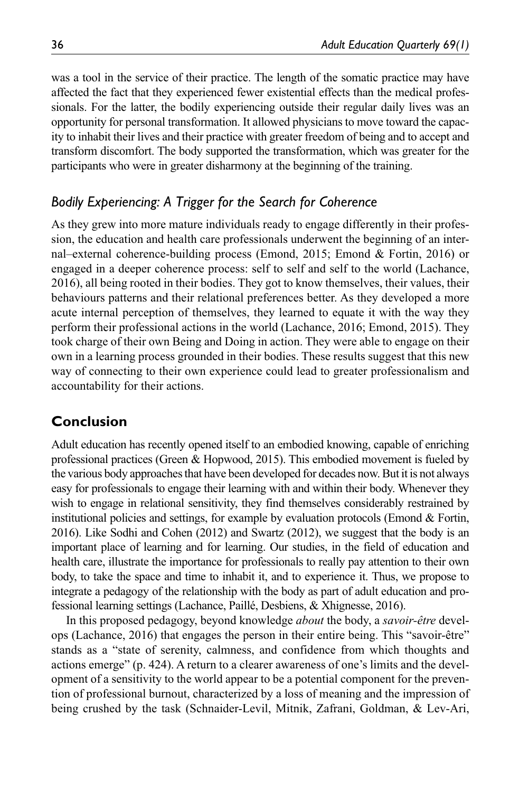was a tool in the service of their practice. The length of the somatic practice may have affected the fact that they experienced fewer existential effects than the medical professionals. For the latter, the bodily experiencing outside their regular daily lives was an opportunity for personal transformation. It allowed physicians to move toward the capacity to inhabit their lives and their practice with greater freedom of being and to accept and transform discomfort. The body supported the transformation, which was greater for the participants who were in greater disharmony at the beginning of the training.

## *Bodily Experiencing: A Trigger for the Search for Coherence*

As they grew into more mature individuals ready to engage differently in their profession, the education and health care professionals underwent the beginning of an internal–external coherence-building process (Emond, 2015; Emond & Fortin, 2016) or engaged in a deeper coherence process: self to self and self to the world (Lachance, 2016), all being rooted in their bodies. They got to know themselves, their values, their behaviours patterns and their relational preferences better. As they developed a more acute internal perception of themselves, they learned to equate it with the way they perform their professional actions in the world (Lachance, 2016; Emond, 2015). They took charge of their own Being and Doing in action. They were able to engage on their own in a learning process grounded in their bodies. These results suggest that this new way of connecting to their own experience could lead to greater professionalism and accountability for their actions.

# **Conclusion**

Adult education has recently opened itself to an embodied knowing, capable of enriching professional practices (Green & Hopwood, 2015). This embodied movement is fueled by the various body approaches that have been developed for decades now. But it is not always easy for professionals to engage their learning with and within their body. Whenever they wish to engage in relational sensitivity, they find themselves considerably restrained by institutional policies and settings, for example by evaluation protocols (Emond  $\&$  Fortin, 2016). Like Sodhi and Cohen (2012) and Swartz (2012), we suggest that the body is an important place of learning and for learning. Our studies, in the field of education and health care, illustrate the importance for professionals to really pay attention to their own body, to take the space and time to inhabit it, and to experience it. Thus, we propose to integrate a pedagogy of the relationship with the body as part of adult education and professional learning settings (Lachance, Paillé, Desbiens, & Xhignesse, 2016).

In this proposed pedagogy, beyond knowledge *about* the body, a *savoir-être* develops (Lachance, 2016) that engages the person in their entire being. This "savoir-être" stands as a "state of serenity, calmness, and confidence from which thoughts and actions emerge" (p. 424). A return to a clearer awareness of one's limits and the development of a sensitivity to the world appear to be a potential component for the prevention of professional burnout, characterized by a loss of meaning and the impression of being crushed by the task (Schnaider-Levil, Mitnik, Zafrani, Goldman, & Lev-Ari,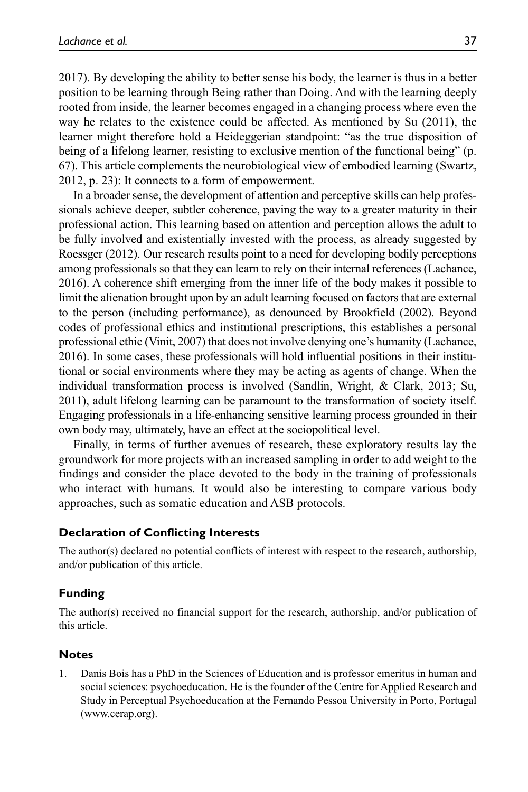2017). By developing the ability to better sense his body, the learner is thus in a better position to be learning through Being rather than Doing. And with the learning deeply rooted from inside, the learner becomes engaged in a changing process where even the way he relates to the existence could be affected. As mentioned by Su (2011), the learner might therefore hold a Heideggerian standpoint: "as the true disposition of being of a lifelong learner, resisting to exclusive mention of the functional being" (p. 67). This article complements the neurobiological view of embodied learning (Swartz, 2012, p. 23): It connects to a form of empowerment.

In a broader sense, the development of attention and perceptive skills can help professionals achieve deeper, subtler coherence, paving the way to a greater maturity in their professional action. This learning based on attention and perception allows the adult to be fully involved and existentially invested with the process, as already suggested by Roessger (2012). Our research results point to a need for developing bodily perceptions among professionals so that they can learn to rely on their internal references (Lachance, 2016). A coherence shift emerging from the inner life of the body makes it possible to limit the alienation brought upon by an adult learning focused on factors that are external to the person (including performance), as denounced by Brookfield (2002). Beyond codes of professional ethics and institutional prescriptions, this establishes a personal professional ethic (Vinit, 2007) that does not involve denying one's humanity (Lachance, 2016). In some cases, these professionals will hold influential positions in their institutional or social environments where they may be acting as agents of change. When the individual transformation process is involved (Sandlin, Wright, & Clark, 2013; Su, 2011), adult lifelong learning can be paramount to the transformation of society itself. Engaging professionals in a life-enhancing sensitive learning process grounded in their own body may, ultimately, have an effect at the sociopolitical level.

Finally, in terms of further avenues of research, these exploratory results lay the groundwork for more projects with an increased sampling in order to add weight to the findings and consider the place devoted to the body in the training of professionals who interact with humans. It would also be interesting to compare various body approaches, such as somatic education and ASB protocols.

#### **Declaration of Conflicting Interests**

The author(s) declared no potential conflicts of interest with respect to the research, authorship, and/or publication of this article.

#### **Funding**

The author(s) received no financial support for the research, authorship, and/or publication of this article.

## **Notes**

1. Danis Bois has a PhD in the Sciences of Education and is professor emeritus in human and social sciences: psychoeducation. He is the founder of the Centre for Applied Research and Study in Perceptual Psychoeducation at the Fernando Pessoa University in Porto, Portugal ([www.cerap.org\)](www.cerap.org).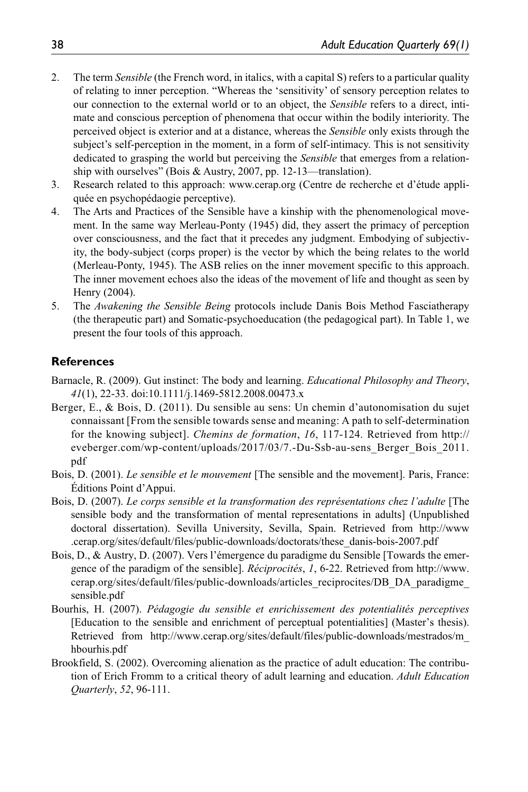- 2. The term *Sensible* (the French word, in italics, with a capital S) refers to a particular quality of relating to inner perception. "Whereas the 'sensitivity' of sensory perception relates to our connection to the external world or to an object, the *Sensible* refers to a direct, intimate and conscious perception of phenomena that occur within the bodily interiority. The perceived object is exterior and at a distance, whereas the *Sensible* only exists through the subject's self-perception in the moment, in a form of self-intimacy. This is not sensitivity dedicated to grasping the world but perceiving the *Sensible* that emerges from a relationship with ourselves" (Bois & Austry, 2007, pp. 12-13—translation).
- 3. Research related to this approach: <www.cerap.org>(Centre de recherche et d'étude appliquée en psychopédaogie perceptive).
- 4. The Arts and Practices of the Sensible have a kinship with the phenomenological movement. In the same way Merleau-Ponty (1945) did, they assert the primacy of perception over consciousness, and the fact that it precedes any judgment. Embodying of subjectivity, the body-subject (corps proper) is the vector by which the being relates to the world (Merleau-Ponty, 1945). The ASB relies on the inner movement specific to this approach. The inner movement echoes also the ideas of the movement of life and thought as seen by Henry (2004).
- 5. The *Awakening the Sensible Being* protocols include Danis Bois Method Fasciatherapy (the therapeutic part) and Somatic-psychoeducation (the pedagogical part). In Table 1, we present the four tools of this approach.

#### **References**

- Barnacle, R. (2009). Gut instinct: The body and learning. *Educational Philosophy and Theory*, *41*(1), 22-33. doi:10.1111/j.1469-5812.2008.00473.x
- Berger, E., & Bois, D. (2011). Du sensible au sens: Un chemin d'autonomisation du sujet connaissant [From the sensible towards sense and meaning: A path to self-determination for the knowing subject]. *Chemins de formation*, *16*, 117-124. Retrieved from [http://](http://eveberger.com/wp-content/uploads/2017/03/7.-Du-Ssb-au-sens_Berger_Bois_2011.pdf) [eveberger.com/wp-content/uploads/2017/03/7.-Du-Ssb-au-sens\\_Berger\\_Bois\\_2011.](http://eveberger.com/wp-content/uploads/2017/03/7.-Du-Ssb-au-sens_Berger_Bois_2011.pdf) [pdf](http://eveberger.com/wp-content/uploads/2017/03/7.-Du-Ssb-au-sens_Berger_Bois_2011.pdf)
- Bois, D. (2001). *Le sensible et le mouvement* [The sensible and the movement]. Paris, France: Éditions Point d'Appui.
- Bois, D. (2007). *Le corps sensible et la transformation des représentations chez l'adulte* [The sensible body and the transformation of mental representations in adults] (Unpublished doctoral dissertation). Sevilla University, Sevilla, Spain. Retrieved from http://[www](www.cerap.org) [.cerap.org/](www.cerap.org)sites/default/files/public-downloads/doctorats/these\_danis-bois-2007.pdf
- Bois, D., & Austry, D. (2007). Vers l'émergence du paradigme du Sensible [Towards the emergence of the paradigm of the sensible]. *Réciprocités*, *1*, 6-22. Retrieved from [http://www.](http://www.cerap.org/sites/default/files/public-downloads/articles
_reciprocites/DB_DA_paradigme_sensible.pdf) [cerap.org/sites/default/files/public-downloads/articles\\_reciprocites/DB\\_DA\\_paradigme\\_](http://www.cerap.org/sites/default/files/public-downloads/articles
_reciprocites/DB_DA_paradigme_sensible.pdf) [sensible.pdf](http://www.cerap.org/sites/default/files/public-downloads/articles
_reciprocites/DB_DA_paradigme_sensible.pdf)
- Bourhis, H. (2007). *Pédagogie du sensible et enrichissement des potentialités perceptives* [Education to the sensible and enrichment of perceptual potentialities] (Master's thesis). Retrieved from http://<www.cerap.org>/sites/default/files/public-downloads/mestrados/m\_ hbourhis.pdf
- Brookfield, S. (2002). Overcoming alienation as the practice of adult education: The contribution of Erich Fromm to a critical theory of adult learning and education. *Adult Education Quarterly*, *52*, 96-111.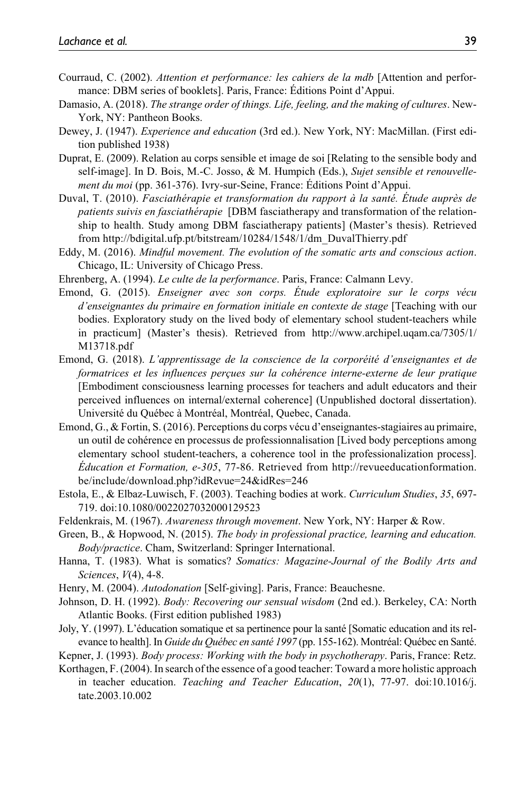- Courraud, C. (2002). *Attention et performance: les cahiers de la mdb* [Attention and performance: DBM series of booklets]. Paris, France: Éditions Point d'Appui.
- Damasio, A. (2018). *The strange order of things. Life, feeling, and the making of cultures*. New-York, NY: Pantheon Books.
- Dewey, J. (1947). *Experience and education* (3rd ed.). New York, NY: MacMillan. (First edition published 1938)
- Duprat, E. (2009). Relation au corps sensible et image de soi [Relating to the sensible body and self-image]. In D. Bois, M.-C. Josso, & M. Humpich (Eds.), *Sujet sensible et renouvellement du moi* (pp. 361-376). Ivry-sur-Seine, France: Éditions Point d'Appui.
- Duval, T. (2010). *Fasciathérapie et transformation du rapport à la santé. Étude auprès de patients suivis en fasciathérapie* [DBM fasciatherapy and transformation of the relationship to health. Study among DBM fasciatherapy patients] (Master's thesis). Retrieved from [http://bdigital.ufp.pt/bitstream/10284/1548/1/dm\\_DuvalThierry.pdf](http://bdigital.ufp.pt/bitstream/10284/1548/1/dm_DuvalThierry.pdf)
- Eddy, M. (2016). *Mindful movement. The evolution of the somatic arts and conscious action*. Chicago, IL: University of Chicago Press.
- Ehrenberg, A. (1994). *Le culte de la performance*. Paris, France: Calmann Levy.
- Emond, G. (2015). *Enseigner avec son corps. Étude exploratoire sur le corps vécu d'enseignantes du primaire en formation initiale en contexte de stage* [Teaching with our bodies. Exploratory study on the lived body of elementary school student-teachers while in practicum] (Master's thesis). Retrieved from [http://www.archipel.uqam.ca/7305/1/](http://www.archipel.uqam.ca/7305/1/M13718.pdf) [M13718.pdf](http://www.archipel.uqam.ca/7305/1/M13718.pdf)
- Emond, G. (2018). *L'apprentissage de la conscience de la corporéité d'enseignantes et de formatrices et les influences perçues sur la cohérence interne-externe de leur pratique* [Embodiment consciousness learning processes for teachers and adult educators and their perceived influences on internal/external coherence] (Unpublished doctoral dissertation). Université du Québec à Montréal, Montréal, Quebec, Canada.
- Emond, G., & Fortin, S. (2016). Perceptions du corps vécu d'enseignantes-stagiaires au primaire, un outil de cohérence en processus de professionnalisation [Lived body perceptions among elementary school student-teachers, a coherence tool in the professionalization process]. *Éducation et Formation, e-305*, 77-86. Retrieved from [http://revueeducationformation.](http://revueeducationformation.be/include/download.php?idRevue=24&idRes=246) [be/include/download.php?idRevue=24&idRes=246](http://revueeducationformation.be/include/download.php?idRevue=24&idRes=246)
- Estola, E., & Elbaz-Luwisch, F. (2003). Teaching bodies at work. *Curriculum Studies*, *35*, 697- 719. doi:10.1080/0022027032000129523
- Feldenkrais, M. (1967). *Awareness through movement*. New York, NY: Harper & Row.
- Green, B., & Hopwood, N. (2015). *The body in professional practice, learning and education. Body/practice*. Cham, Switzerland: Springer International.
- Hanna, T. (1983). What is somatics? *Somatics: Magazine-Journal of the Bodily Arts and Sciences*, *V*(4), 4-8.
- Henry, M. (2004). *Autodonation* [Self-giving]. Paris, France: Beauchesne.
- Johnson, D. H. (1992). *Body: Recovering our sensual wisdom* (2nd ed.). Berkeley, CA: North Atlantic Books. (First edition published 1983)
- Joly, Y. (1997). L'éducation somatique et sa pertinence pour la santé [Somatic education and its relevance to health]. In *Guide du Québec en santé 1997* (pp. 155-162). Montréal: Québec en Santé.
- Kepner, J. (1993). *Body process: Working with the body in psychotherapy*. Paris, France: Retz. Korthagen, F. (2004). In search of the essence of a good teacher: Toward a more holistic approach
- in teacher education. *Teaching and Teacher Education*, *20*(1), 77-97. doi:10.1016/j. tate.2003.10.002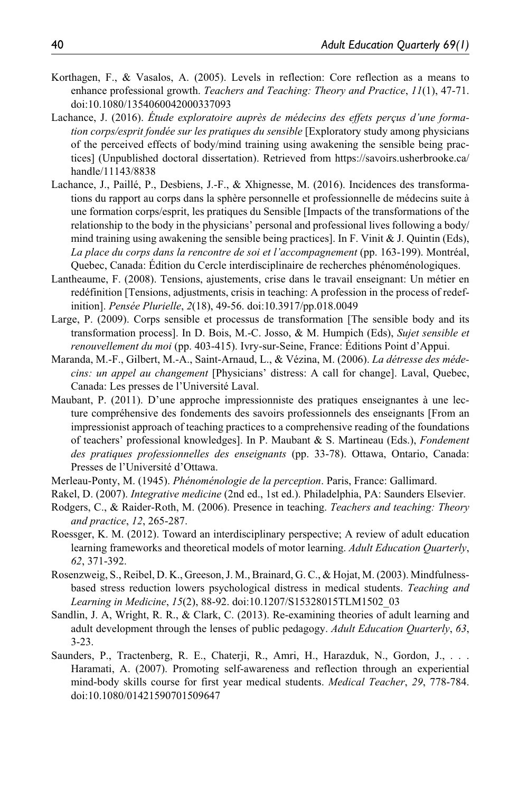- Korthagen, F., & Vasalos, A. (2005). Levels in reflection: Core reflection as a means to enhance professional growth. *Teachers and Teaching: Theory and Practice*, *11*(1), 47-71. doi:10.1080/1354060042000337093
- Lachance, J. (2016). *Étude exploratoire auprès de médecins des effets perçus d'une formation corps/esprit fondée sur les pratiques du sensible* [Exploratory study among physicians of the perceived effects of body/mind training using awakening the sensible being practices] (Unpublished doctoral dissertation). Retrieved from [https://savoirs.usherbrooke.ca/](https://savoirs.usherbrooke.ca/handle/11143/8838) [handle/11143/8838](https://savoirs.usherbrooke.ca/handle/11143/8838)
- Lachance, J., Paillé, P., Desbiens, J.-F., & Xhignesse, M. (2016). Incidences des transformations du rapport au corps dans la sphère personnelle et professionnelle de médecins suite à une formation corps/esprit, les pratiques du Sensible [Impacts of the transformations of the relationship to the body in the physicians' personal and professional lives following a body/ mind training using awakening the sensible being practices]. In F. Vinit  $&$  J. Quintin (Eds), *La place du corps dans la rencontre de soi et l'accompagnement* (pp. 163-199). Montréal, Quebec, Canada: Édition du Cercle interdisciplinaire de recherches phénoménologiques.
- Lantheaume, F. (2008). Tensions, ajustements, crise dans le travail enseignant: Un métier en redéfinition [Tensions, adjustments, crisis in teaching: A profession in the process of redefinition]. *Pensée Plurielle*, *2*(18), 49-56. doi:10.3917/pp.018.0049
- Large, P. (2009). Corps sensible et processus de transformation [The sensible body and its transformation process]. In D. Bois, M.-C. Josso, & M. Humpich (Eds), *Sujet sensible et renouvellement du moi* (pp. 403-415). Ivry-sur-Seine, France: Éditions Point d'Appui.
- Maranda, M.-F., Gilbert, M.-A., Saint-Arnaud, L., & Vézina, M. (2006). *La détresse des médecins: un appel au changement* [Physicians' distress: A call for change]. Laval, Quebec, Canada: Les presses de l'Université Laval.
- Maubant, P. (2011). D'une approche impressionniste des pratiques enseignantes à une lecture compréhensive des fondements des savoirs professionnels des enseignants [From an impressionist approach of teaching practices to a comprehensive reading of the foundations of teachers' professional knowledges]. In P. Maubant & S. Martineau (Eds.), *Fondement des pratiques professionnelles des enseignants* (pp. 33-78). Ottawa, Ontario, Canada: Presses de l'Université d'Ottawa.
- Merleau-Ponty, M. (1945). *Phénoménologie de la perception*. Paris, France: Gallimard.
- Rakel, D. (2007). *Integrative medicine* (2nd ed., 1st ed.). Philadelphia, PA: Saunders Elsevier.
- Rodgers, C., & Raider-Roth, M. (2006). Presence in teaching. *Teachers and teaching: Theory and practice*, *12*, 265-287.
- Roessger, K. M. (2012). Toward an interdisciplinary perspective; A review of adult education learning frameworks and theoretical models of motor learning. *Adult Education Quarterly*, *62*, 371-392.
- Rosenzweig, S., Reibel, D. K., Greeson, J. M., Brainard, G. C., & Hojat, M. (2003). Mindfulnessbased stress reduction lowers psychological distress in medical students. *Teaching and Learning in Medicine*, *15*(2), 88-92. doi:10.1207/S15328015TLM1502\_03
- Sandlin, J. A, Wright, R. R., & Clark, C. (2013). Re-examining theories of adult learning and adult development through the lenses of public pedagogy. *Adult Education Quarterly*, *63*, 3-23.
- Saunders, P., Tractenberg, R. E., Chaterji, R., Amri, H., Harazduk, N., Gordon, J., . . . Haramati, A. (2007). Promoting self-awareness and reflection through an experiential mind-body skills course for first year medical students. *Medical Teacher*, *29*, 778-784. doi:10.1080/01421590701509647